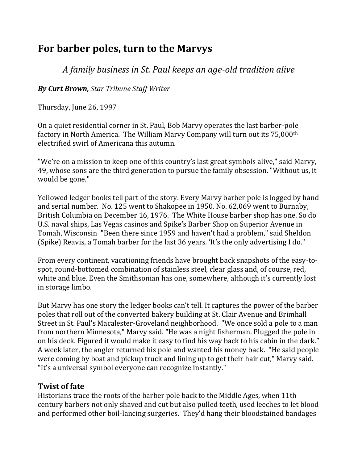# **For barber poles, turn to the Marvys**

*A family business in St. Paul keeps an age-old tradition alive*

*By Curt Brown, Star Tribune Staff Writer*

Thursday, June 26, 1997

On a quiet residential corner in St. Paul, Bob Marvy operates the last barber-pole factory in North America. The William Marvy Company will turn out its 75,000th electrified swirl of Americana this autumn.

"We're on a mission to keep one of this country's last great symbols alive," said Marvy, 49, whose sons are the third generation to pursue the family obsession. "Without us, it would be gone."

Yellowed ledger books tell part of the story. Every Marvy barber pole is logged by hand and serial number. No. 125 went to Shakopee in 1950. No. 62,069 went to Burnaby, British Columbia on December 16, 1976. The White House barber shop has one. So do U.S. naval ships, Las Vegas casinos and Spike's Barber Shop on Superior Avenue in Tomah, Wisconsin "Been there since 1959 and haven't had a problem," said Sheldon (Spike) Reavis, a Tomah barber for the last 36 years. 'It's the only advertising I do."

From every continent, vacationing friends have brought back snapshots of the easy-tospot, round-bottomed combination of stainless steel, clear glass and, of course, red, white and blue. Even the Smithsonian has one, somewhere, although it's currently lost in storage limbo.

But Marvy has one story the ledger books can't tell. It captures the power of the barber poles that roll out of the converted bakery building at St. Clair Avenue and Brimhall Street in St. Paul's Macalester-Groveland neighborhood. "We once sold a pole to a man from northern Minnesota," Marvy said. "He was a night fisherman. Plugged the pole in on his deck. Figured it would make it easy to find his way back to his cabin in the dark." A week later, the angler returned his pole and wanted his money back. "He said people were coming by boat and pickup truck and lining up to get their hair cut," Marvy said. "It's a universal symbol everyone can recognize instantly."

## **Twist of fate**

Historians trace the roots of the barber pole back to the Middle Ages, when 11th century barbers not only shaved and cut but also pulled teeth, used leeches to let blood and performed other boil-lancing surgeries.They'd hang their bloodstained bandages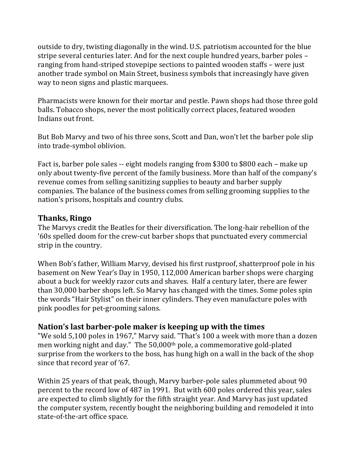outside to dry, twisting diagonally in the wind. U.S. patriotism accounted for the blue stripe several centuries later. And for the next couple hundred years, barber poles – ranging from hand-striped stovepipe sections to painted wooden staffs – were just another trade symbol on Main Street, business symbols that increasingly have given way to neon signs and plastic marquees.

Pharmacists were known for their mortar and pestle. Pawn shops had those three gold balls. Tobacco shops, never the most politically correct places, featured wooden Indians out front.

But Bob Marvy and two of his three sons, Scott and Dan, won't let the barber pole slip into trade-symbol oblivion.

Fact is, barber pole sales -- eight models ranging from \$300 to \$800 each – make up only about twenty-five percent of the family business. More than half of the company's revenue comes from selling sanitizing supplies to beauty and barber supply companies. The balance of the business comes from selling grooming supplies to the nation's prisons, hospitals and country clubs.

#### **Thanks, Ringo**

The Marvys credit the Beatles for their diversification. The long-hair rebellion of the '60s spelled doom for the crew-cut barber shops that punctuated every commercial strip in the country.

When Bob's father, William Marvy, devised his first rustproof, shatterproof pole in his basement on New Year's Day in 1950, 112,000 American barber shops were charging about a buck for weekly razor cuts and shaves. Half a century later, there are fewer than 30,000 barber shops left. So Marvy has changed with the times. Some poles spin the words "Hair Stylist" on their inner cylinders. They even manufacture poles with pink poodles for pet-grooming salons.

#### **Nation's last barber-pole maker is keeping up with the times**

"We sold 5,100 poles in 1967," Marvy said. "That's 100 a week with more than a dozen men working night and day." The 50,000th pole, a commemorative gold-plated surprise from the workers to the boss, has hung high on a wall in the back of the shop since that record year of '67.

Within 25 years of that peak, though, Marvy barber-pole sales plummeted about 90 percent to the record low of 487 in 1991. But with 600 poles ordered this year, sales are expected to climb slightly for the fifth straight year. And Marvy has just updated the computer system, recently bought the neighboring building and remodeled it into state-of-the-art office space.